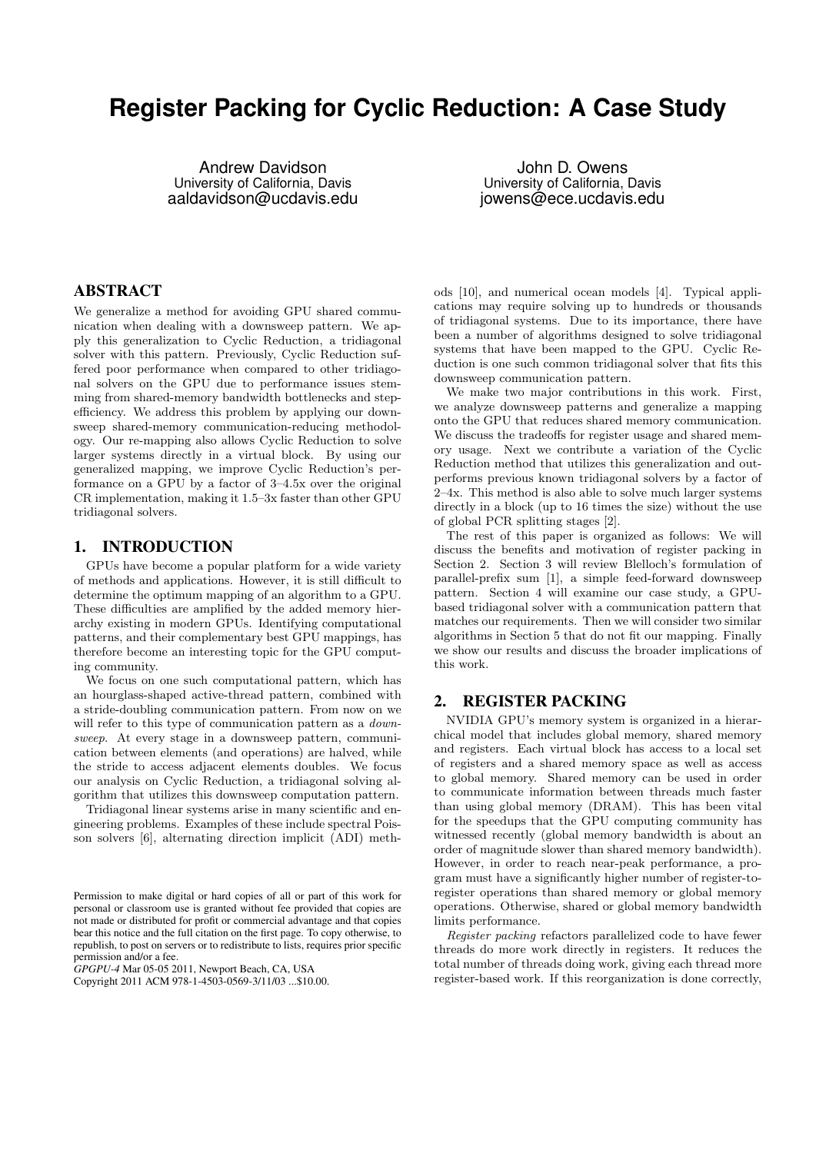# **Register Packing for Cyclic Reduction: A Case Study**

Andrew Davidson University of California, Davis aaldavidson@ucdavis.edu

John D. Owens University of California, Davis jowens@ece.ucdavis.edu

#### ABSTRACT

We generalize a method for avoiding GPU shared communication when dealing with a downsweep pattern. We apply this generalization to Cyclic Reduction, a tridiagonal solver with this pattern. Previously, Cyclic Reduction suffered poor performance when compared to other tridiagonal solvers on the GPU due to performance issues stemming from shared-memory bandwidth bottlenecks and stepefficiency. We address this problem by applying our downsweep shared-memory communication-reducing methodology. Our re-mapping also allows Cyclic Reduction to solve larger systems directly in a virtual block. By using our generalized mapping, we improve Cyclic Reduction's performance on a GPU by a factor of 3–4.5x over the original CR implementation, making it 1.5–3x faster than other GPU tridiagonal solvers.

# 1. INTRODUCTION

GPUs have become a popular platform for a wide variety of methods and applications. However, it is still difficult to determine the optimum mapping of an algorithm to a GPU. These difficulties are amplified by the added memory hierarchy existing in modern GPUs. Identifying computational patterns, and their complementary best GPU mappings, has therefore become an interesting topic for the GPU computing community.

We focus on one such computational pattern, which has an hourglass-shaped active-thread pattern, combined with a stride-doubling communication pattern. From now on we will refer to this type of communication pattern as a *down*sweep. At every stage in a downsweep pattern, communication between elements (and operations) are halved, while the stride to access adjacent elements doubles. We focus our analysis on Cyclic Reduction, a tridiagonal solving algorithm that utilizes this downsweep computation pattern.

Tridiagonal linear systems arise in many scientific and engineering problems. Examples of these include spectral Poisson solvers [6], alternating direction implicit (ADI) meth-

*GPGPU-4* Mar 05-05 2011, Newport Beach, CA, USA

Copyright 2011 ACM 978-1-4503-0569-3/11/03 ...\$10.00.

ods [10], and numerical ocean models [4]. Typical applications may require solving up to hundreds or thousands of tridiagonal systems. Due to its importance, there have been a number of algorithms designed to solve tridiagonal systems that have been mapped to the GPU. Cyclic Reduction is one such common tridiagonal solver that fits this downsweep communication pattern.

We make two major contributions in this work. First, we analyze downsweep patterns and generalize a mapping onto the GPU that reduces shared memory communication. We discuss the tradeoffs for register usage and shared memory usage. Next we contribute a variation of the Cyclic Reduction method that utilizes this generalization and outperforms previous known tridiagonal solvers by a factor of 2–4x. This method is also able to solve much larger systems directly in a block (up to 16 times the size) without the use of global PCR splitting stages [2].

The rest of this paper is organized as follows: We will discuss the benefits and motivation of register packing in Section 2. Section 3 will review Blelloch's formulation of parallel-prefix sum [1], a simple feed-forward downsweep pattern. Section 4 will examine our case study, a GPUbased tridiagonal solver with a communication pattern that matches our requirements. Then we will consider two similar algorithms in Section 5 that do not fit our mapping. Finally we show our results and discuss the broader implications of this work.

# 2. REGISTER PACKING

NVIDIA GPU's memory system is organized in a hierarchical model that includes global memory, shared memory and registers. Each virtual block has access to a local set of registers and a shared memory space as well as access to global memory. Shared memory can be used in order to communicate information between threads much faster than using global memory (DRAM). This has been vital for the speedups that the GPU computing community has witnessed recently (global memory bandwidth is about an order of magnitude slower than shared memory bandwidth). However, in order to reach near-peak performance, a program must have a significantly higher number of register-toregister operations than shared memory or global memory operations. Otherwise, shared or global memory bandwidth limits performance.

Register packing refactors parallelized code to have fewer threads do more work directly in registers. It reduces the total number of threads doing work, giving each thread more register-based work. If this reorganization is done correctly,

Permission to make digital or hard copies of all or part of this work for personal or classroom use is granted without fee provided that copies are not made or distributed for profit or commercial advantage and that copies bear this notice and the full citation on the first page. To copy otherwise, to republish, to post on servers or to redistribute to lists, requires prior specific permission and/or a fee.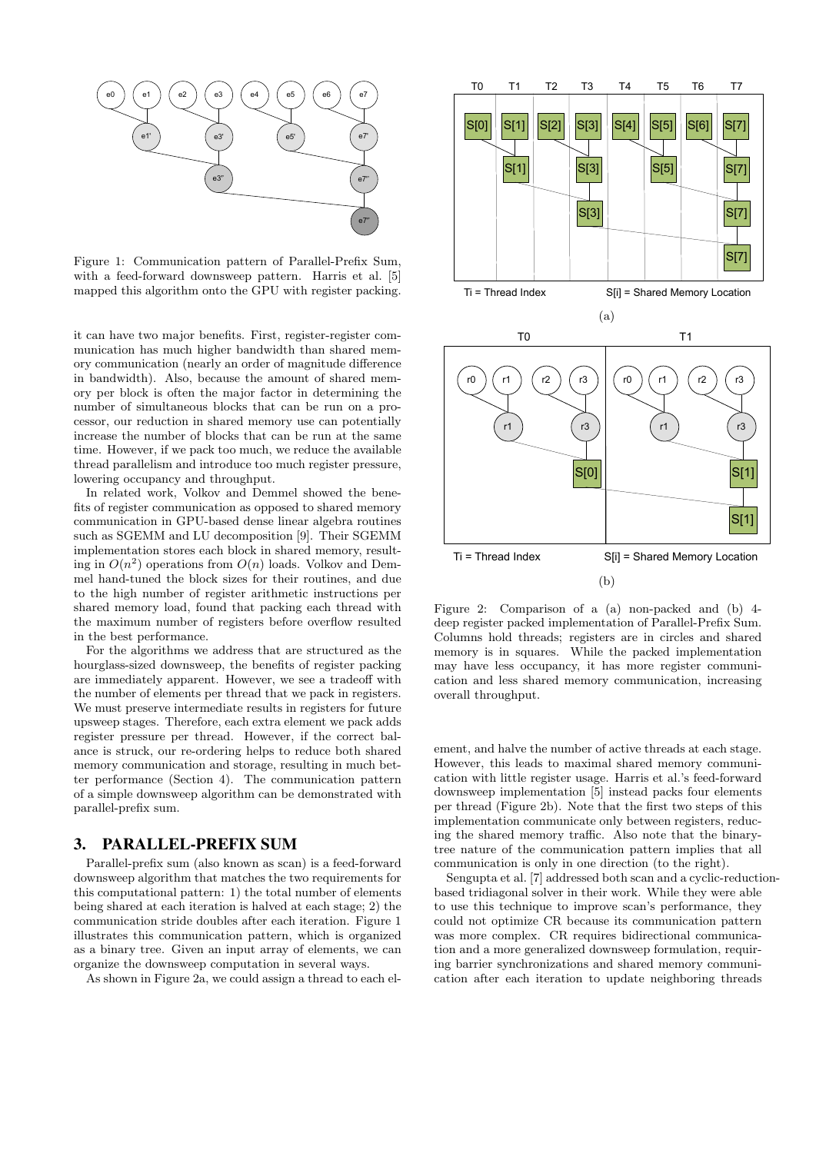

Figure 1: Communication pattern of Parallel-Prefix Sum, with a feed-forward downsweep pattern. Harris et al. [5] mapped this algorithm onto the GPU with register packing.

it can have two major benefits. First, register-register communication has much higher bandwidth than shared memory communication (nearly an order of magnitude difference in bandwidth). Also, because the amount of shared memory per block is often the major factor in determining the number of simultaneous blocks that can be run on a processor, our reduction in shared memory use can potentially increase the number of blocks that can be run at the same time. However, if we pack too much, we reduce the available thread parallelism and introduce too much register pressure, lowering occupancy and throughput.

In related work, Volkov and Demmel showed the benefits of register communication as opposed to shared memory communication in GPU-based dense linear algebra routines such as SGEMM and LU decomposition [9]. Their SGEMM implementation stores each block in shared memory, resulting in  $O(n^2)$  operations from  $O(n)$  loads. Volkov and Demmel hand-tuned the block sizes for their routines, and due to the high number of register arithmetic instructions per shared memory load, found that packing each thread with the maximum number of registers before overflow resulted in the best performance.

For the algorithms we address that are structured as the hourglass-sized downsweep, the benefits of register packing are immediately apparent. However, we see a tradeoff with the number of elements per thread that we pack in registers. We must preserve intermediate results in registers for future upsweep stages. Therefore, each extra element we pack adds register pressure per thread. However, if the correct balance is struck, our re-ordering helps to reduce both shared memory communication and storage, resulting in much better performance (Section 4). The communication pattern of a simple downsweep algorithm can be demonstrated with parallel-prefix sum.

## 3. PARALLEL-PREFIX SUM

Parallel-prefix sum (also known as scan) is a feed-forward downsweep algorithm that matches the two requirements for this computational pattern: 1) the total number of elements being shared at each iteration is halved at each stage; 2) the communication stride doubles after each iteration. Figure 1 illustrates this communication pattern, which is organized as a binary tree. Given an input array of elements, we can organize the downsweep computation in several ways.

As shown in Figure 2a, we could assign a thread to each el-



Figure 2: Comparison of a (a) non-packed and (b) 4 deep register packed implementation of Parallel-Prefix Sum. Columns hold threads; registers are in circles and shared memory is in squares. While the packed implementation may have less occupancy, it has more register communication and less shared memory communication, increasing overall throughput.

ement, and halve the number of active threads at each stage. However, this leads to maximal shared memory communication with little register usage. Harris et al.'s feed-forward downsweep implementation [5] instead packs four elements per thread (Figure 2b). Note that the first two steps of this implementation communicate only between registers, reducing the shared memory traffic. Also note that the binarytree nature of the communication pattern implies that all communication is only in one direction (to the right).

Sengupta et al. [7] addressed both scan and a cyclic-reductionbased tridiagonal solver in their work. While they were able to use this technique to improve scan's performance, they could not optimize CR because its communication pattern was more complex. CR requires bidirectional communication and a more generalized downsweep formulation, requiring barrier synchronizations and shared memory communication after each iteration to update neighboring threads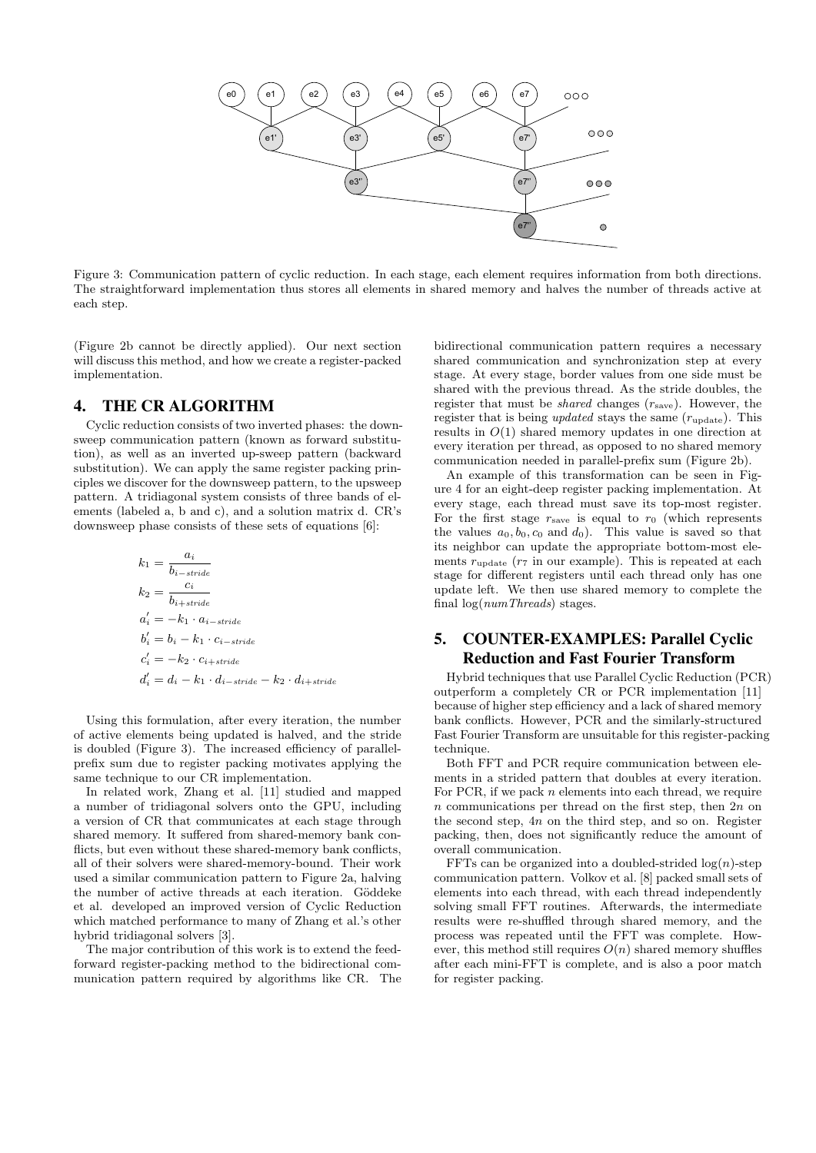

Figure 3: Communication pattern of cyclic reduction. In each stage, each element requires information from both directions. The straightforward implementation thus stores all elements in shared memory and halves the number of threads active at each step.

(Figure 2b cannot be directly applied). Our next section will discuss this method, and how we create a register-packed implementation.

## 4. THE CR ALGORITHM

Cyclic reduction consists of two inverted phases: the downsweep communication pattern (known as forward substitution), as well as an inverted up-sweep pattern (backward substitution). We can apply the same register packing principles we discover for the downsweep pattern, to the upsweep pattern. A tridiagonal system consists of three bands of elements (labeled a, b and c), and a solution matrix d. CR's downsweep phase consists of these sets of equations [6]:

$$
k_1 = \frac{a_i}{b_{i-strict}}\nk_2 = \frac{c_i}{b_{i+strict}}\na'_i = -k_1 \cdot a_{i-strict}\nb'_i = b_i - k_1 \cdot c_{i-strict}\nc'_i = -k_2 \cdot c_{i+strict}\nd'_i = d_i - k_1 \cdot d_{i-strict} - k_2 \cdot d_{i+strict}
$$

Using this formulation, after every iteration, the number of active elements being updated is halved, and the stride is doubled (Figure 3). The increased efficiency of parallelprefix sum due to register packing motivates applying the same technique to our CR implementation.

In related work, Zhang et al. [11] studied and mapped a number of tridiagonal solvers onto the GPU, including a version of CR that communicates at each stage through shared memory. It suffered from shared-memory bank conflicts, but even without these shared-memory bank conflicts, all of their solvers were shared-memory-bound. Their work used a similar communication pattern to Figure 2a, halving the number of active threads at each iteration. Göddeke et al. developed an improved version of Cyclic Reduction which matched performance to many of Zhang et al.'s other hybrid tridiagonal solvers [3].

The major contribution of this work is to extend the feedforward register-packing method to the bidirectional communication pattern required by algorithms like CR. The

bidirectional communication pattern requires a necessary shared communication and synchronization step at every stage. At every stage, border values from one side must be shared with the previous thread. As the stride doubles, the register that must be *shared* changes  $(r<sub>save</sub>)$ . However, the register that is being *updated* stays the same  $(r_{\text{update}})$ . This results in  $O(1)$  shared memory updates in one direction at every iteration per thread, as opposed to no shared memory communication needed in parallel-prefix sum (Figure 2b).

An example of this transformation can be seen in Figure 4 for an eight-deep register packing implementation. At every stage, each thread must save its top-most register. For the first stage  $r_{\text{save}}$  is equal to  $r_0$  (which represents the values  $a_0, b_0, c_0$  and  $d_0$ ). This value is saved so that its neighbor can update the appropriate bottom-most elements  $r_{\text{update}}$  ( $r_7$  in our example). This is repeated at each stage for different registers until each thread only has one update left. We then use shared memory to complete the final  $log(numThreads)$  stages.

# 5. COUNTER-EXAMPLES: Parallel Cyclic Reduction and Fast Fourier Transform

Hybrid techniques that use Parallel Cyclic Reduction (PCR) outperform a completely CR or PCR implementation [11] because of higher step efficiency and a lack of shared memory bank conflicts. However, PCR and the similarly-structured Fast Fourier Transform are unsuitable for this register-packing technique.

Both FFT and PCR require communication between elements in a strided pattern that doubles at every iteration. For PCR, if we pack  $n$  elements into each thread, we require  $n$  communications per thread on the first step, then  $2n$  on the second step, 4n on the third step, and so on. Register packing, then, does not significantly reduce the amount of overall communication.

FFTs can be organized into a doubled-strided  $log(n)$ -step communication pattern. Volkov et al. [8] packed small sets of elements into each thread, with each thread independently solving small FFT routines. Afterwards, the intermediate results were re-shuffled through shared memory, and the process was repeated until the FFT was complete. However, this method still requires  $O(n)$  shared memory shuffles after each mini-FFT is complete, and is also a poor match for register packing.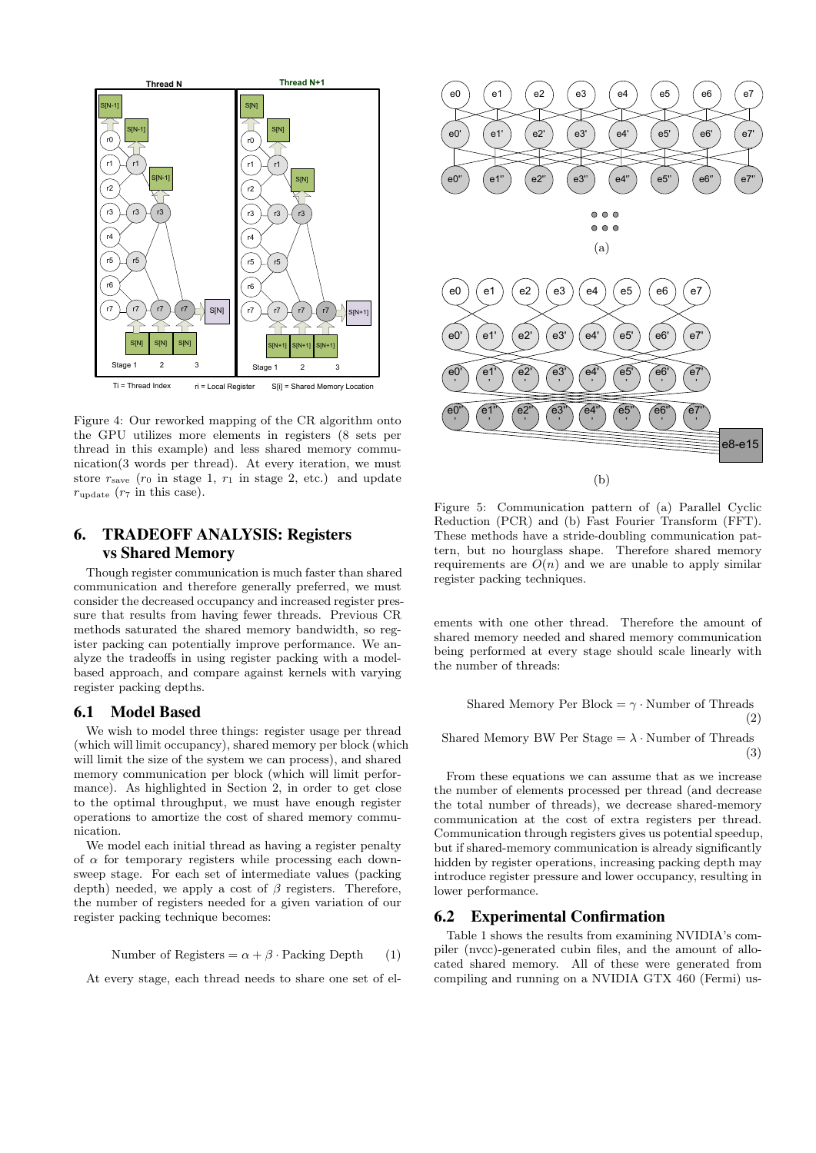

Figure 4: Our reworked mapping of the CR algorithm onto the GPU utilizes more elements in registers (8 sets per thread in this example) and less shared memory communication(3 words per thread). At every iteration, we must store  $r_{\text{save}}$  ( $r_0$  in stage 1,  $r_1$  in stage 2, etc.) and update  $r_{\text{update}}$  ( $r_7$  in this case).

# 6. TRADEOFF ANALYSIS: Registers vs Shared Memory

Though register communication is much faster than shared communication and therefore generally preferred, we must consider the decreased occupancy and increased register pressure that results from having fewer threads. Previous CR methods saturated the shared memory bandwidth, so register packing can potentially improve performance. We analyze the tradeoffs in using register packing with a modelbased approach, and compare against kernels with varying register packing depths.

#### 6.1 Model Based

We wish to model three things: register usage per thread (which will limit occupancy), shared memory per block (which will limit the size of the system we can process), and shared memory communication per block (which will limit performance). As highlighted in Section 2, in order to get close to the optimal throughput, we must have enough register operations to amortize the cost of shared memory communication.

We model each initial thread as having a register penalty of  $\alpha$  for temporary registers while processing each downsweep stage. For each set of intermediate values (packing depth) needed, we apply a cost of  $\beta$  registers. Therefore, the number of registers needed for a given variation of our register packing technique becomes:

Number of Registers = 
$$
\alpha + \beta
$$
 Packing Depth (1)

At every stage, each thread needs to share one set of el-



Figure 5: Communication pattern of (a) Parallel Cyclic Reduction (PCR) and (b) Fast Fourier Transform (FFT). These methods have a stride-doubling communication pattern, but no hourglass shape. Therefore shared memory requirements are  $O(n)$  and we are unable to apply similar register packing techniques.

ements with one other thread. Therefore the amount of shared memory needed and shared memory communication being performed at every stage should scale linearly with the number of threads:

Shared Memory Per Block = 
$$
\gamma \cdot
$$
Number of Threads (2)

Shared Memory BW Per Stage  $= \lambda \cdot$  Number of Threads (3)

From these equations we can assume that as we increase the number of elements processed per thread (and decrease the total number of threads), we decrease shared-memory communication at the cost of extra registers per thread. Communication through registers gives us potential speedup, but if shared-memory communication is already significantly hidden by register operations, increasing packing depth may introduce register pressure and lower occupancy, resulting in lower performance.

#### 6.2 Experimental Confirmation

Table 1 shows the results from examining NVIDIA's compiler (nvcc)-generated cubin files, and the amount of allocated shared memory. All of these were generated from compiling and running on a NVIDIA GTX 460 (Fermi) us-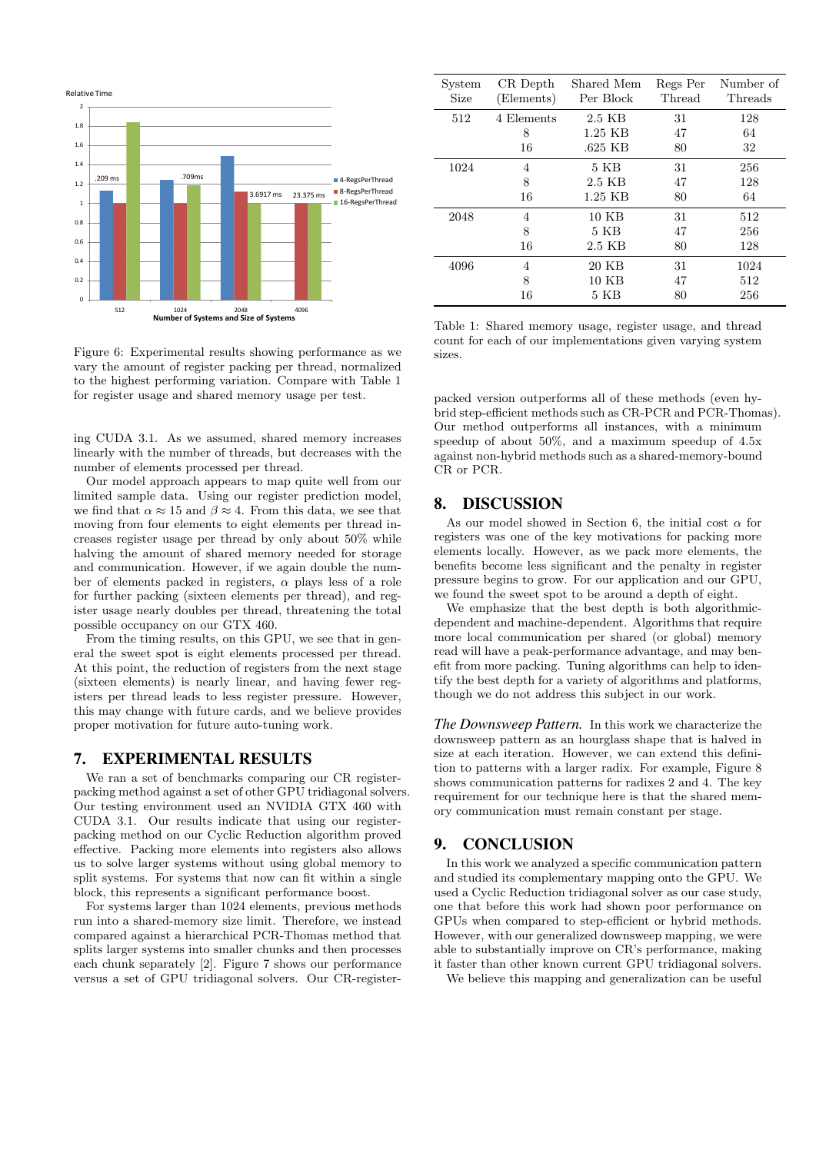

Figure 6: Experimental results showing performance as we vary the amount of register packing per thread, normalized to the highest performing variation. Compare with Table 1 for register usage and shared memory usage per test.

ing CUDA 3.1. As we assumed, shared memory increases linearly with the number of threads, but decreases with the number of elements processed per thread.

Our model approach appears to map quite well from our limited sample data. Using our register prediction model, we find that  $\alpha \approx 15$  and  $\beta \approx 4$ . From this data, we see that moving from four elements to eight elements per thread increases register usage per thread by only about 50% while halving the amount of shared memory needed for storage and communication. However, if we again double the number of elements packed in registers,  $\alpha$  plays less of a role for further packing (sixteen elements per thread), and register usage nearly doubles per thread, threatening the total possible occupancy on our GTX 460.

From the timing results, on this GPU, we see that in general the sweet spot is eight elements processed per thread. At this point, the reduction of registers from the next stage (sixteen elements) is nearly linear, and having fewer registers per thread leads to less register pressure. However, this may change with future cards, and we believe provides proper motivation for future auto-tuning work.

#### 7. EXPERIMENTAL RESULTS

We ran a set of benchmarks comparing our CR registerpacking method against a set of other GPU tridiagonal solvers. Our testing environment used an NVIDIA GTX 460 with CUDA 3.1. Our results indicate that using our registerpacking method on our Cyclic Reduction algorithm proved effective. Packing more elements into registers also allows us to solve larger systems without using global memory to split systems. For systems that now can fit within a single block, this represents a significant performance boost.

For systems larger than 1024 elements, previous methods run into a shared-memory size limit. Therefore, we instead compared against a hierarchical PCR-Thomas method that splits larger systems into smaller chunks and then processes each chunk separately [2]. Figure 7 shows our performance versus a set of GPU tridiagonal solvers. Our CR-register-

| System | CR Depth   | Shared Mem | Regs Per | Number of |
|--------|------------|------------|----------|-----------|
| Size   | (Elements) | Per Block  | Thread   | Threads   |
| 512    | 4 Elements | 2.5 KB     | 31       | 128       |
|        | 8          | $1.25$ KB  | 47       | 64        |
|        | 16         | .625 KB    | 80       | 32        |
| 1024   | 4          | 5 KB       | 31       | 256       |
|        | 8          | 2.5 KB     | 47       | 128       |
|        | 16         | 1.25 KB    | 80       | 64        |
| 2048   | 4          | $10$ KB    | 31       | 512       |
|        | 8          | 5 KB       | 47       | 256       |
|        | 16         | 2.5 KB     | 80       | 128       |
| 4096   | 4          | 20 KB      | 31       | 1024      |
|        | 8          | 10 KB      | 47       | 512       |
|        | 16         | 5 KB       | 80       | 256       |

Table 1: Shared memory usage, register usage, and thread count for each of our implementations given varying system sizes.

packed version outperforms all of these methods (even hybrid step-efficient methods such as CR-PCR and PCR-Thomas). Our method outperforms all instances, with a minimum speedup of about 50%, and a maximum speedup of 4.5x against non-hybrid methods such as a shared-memory-bound CR or PCR.

# 8. DISCUSSION

As our model showed in Section 6, the initial cost  $\alpha$  for registers was one of the key motivations for packing more elements locally. However, as we pack more elements, the benefits become less significant and the penalty in register pressure begins to grow. For our application and our GPU, we found the sweet spot to be around a depth of eight.

We emphasize that the best depth is both algorithmicdependent and machine-dependent. Algorithms that require more local communication per shared (or global) memory read will have a peak-performance advantage, and may benefit from more packing. Tuning algorithms can help to identify the best depth for a variety of algorithms and platforms, though we do not address this subject in our work.

*The Downsweep Pattern.* In this work we characterize the downsweep pattern as an hourglass shape that is halved in size at each iteration. However, we can extend this definition to patterns with a larger radix. For example, Figure 8 shows communication patterns for radixes 2 and 4. The key requirement for our technique here is that the shared memory communication must remain constant per stage.

### 9. CONCLUSION

In this work we analyzed a specific communication pattern and studied its complementary mapping onto the GPU. We used a Cyclic Reduction tridiagonal solver as our case study, one that before this work had shown poor performance on GPUs when compared to step-efficient or hybrid methods. However, with our generalized downsweep mapping, we were able to substantially improve on CR's performance, making it faster than other known current GPU tridiagonal solvers.

We believe this mapping and generalization can be useful